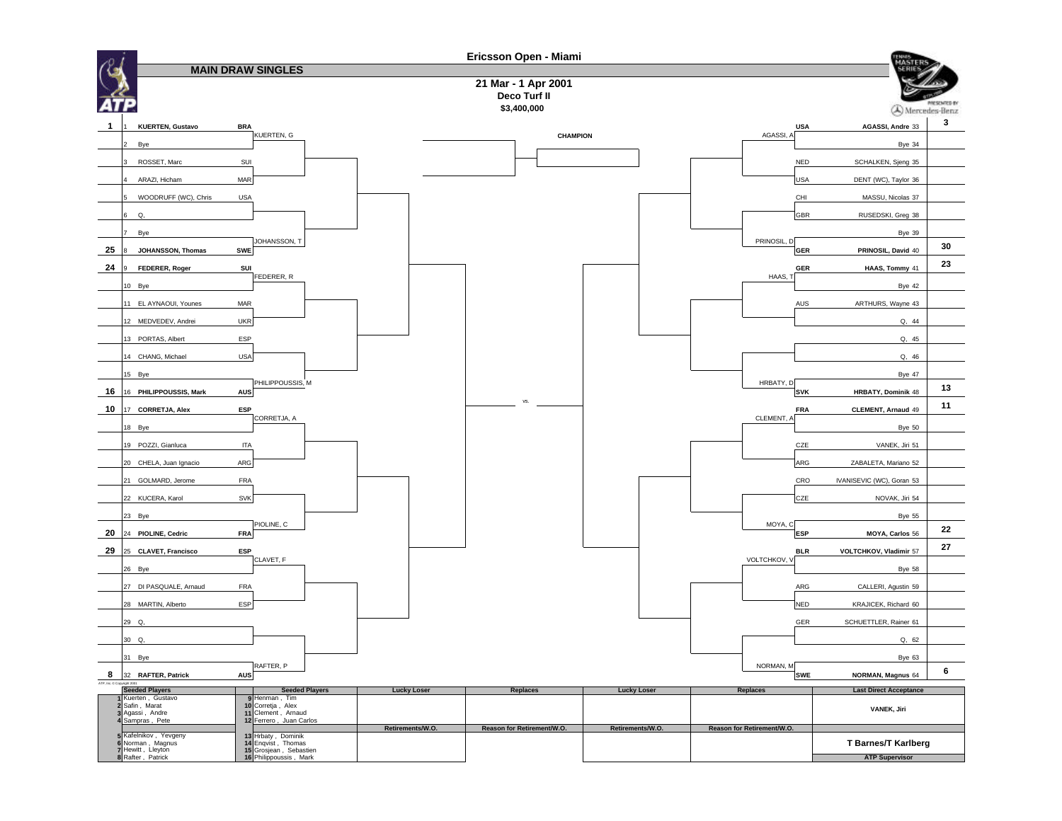